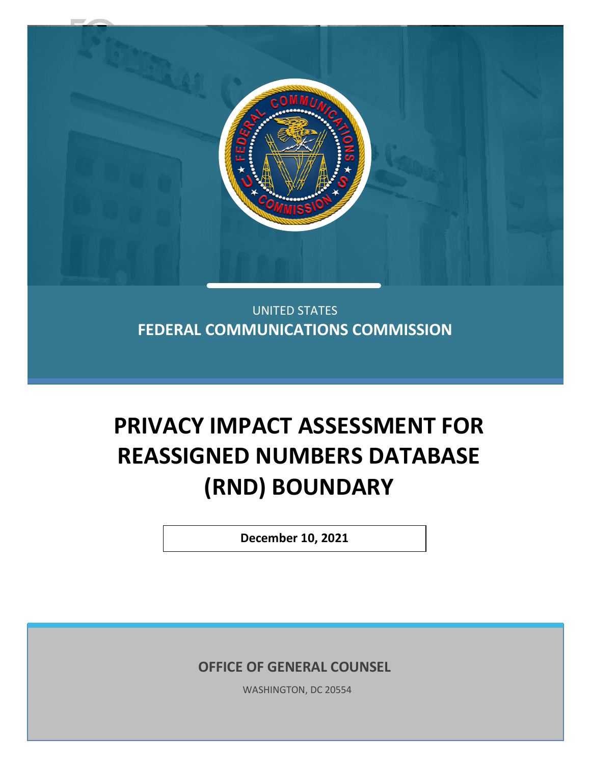

UNITED STATES **FEDERAL COMMUNICATIONS COMMISSION**

# **PRIVACY IMPACT ASSESSMENT FOR REASSIGNED NUMBERS DATABASE (RND) BOUNDARY**

**December 10, 2021**

**OFFICE OF GENERAL COUNSEL**

WASHINGTON, DC 20554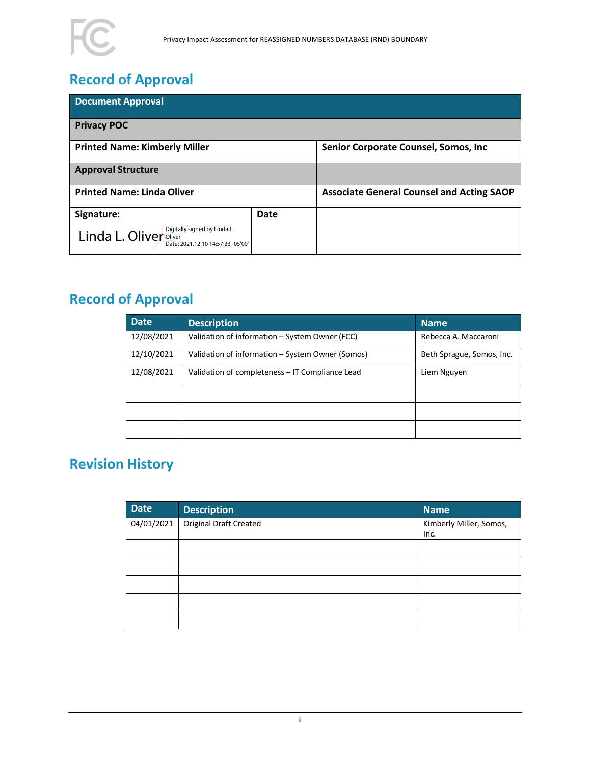

# **Record of Approval**

| <b>Document Approval</b>                                                                    |      |                                                  |
|---------------------------------------------------------------------------------------------|------|--------------------------------------------------|
| <b>Privacy POC</b>                                                                          |      |                                                  |
| <b>Printed Name: Kimberly Miller</b>                                                        |      | Senior Corporate Counsel, Somos, Inc.            |
| <b>Approval Structure</b>                                                                   |      |                                                  |
| <b>Printed Name: Linda Oliver</b>                                                           |      | <b>Associate General Counsel and Acting SAOP</b> |
| Signature:                                                                                  | Date |                                                  |
| Digitally signed by Linda L.<br>Linda L. Oliver Oliver<br>Date: 2021.12.10 14:57:33 -05'00' |      |                                                  |

# **Record of Approval**

| <b>Date</b> | <b>Description</b>                               | <b>Name</b>               |
|-------------|--------------------------------------------------|---------------------------|
| 12/08/2021  | Validation of information - System Owner (FCC)   | Rebecca A. Maccaroni      |
| 12/10/2021  | Validation of information – System Owner (Somos) | Beth Sprague, Somos, Inc. |
| 12/08/2021  | Validation of completeness - IT Compliance Lead  | Liem Nguyen               |
|             |                                                  |                           |
|             |                                                  |                           |
|             |                                                  |                           |

# **Revision History**

| Date                | <b>Description</b>     | <b>Name</b>                     |
|---------------------|------------------------|---------------------------------|
| $\sqrt{04/01}/2021$ | Original Draft Created | Kimberly Miller, Somos,<br>Inc. |
|                     |                        |                                 |
|                     |                        |                                 |
|                     |                        |                                 |
|                     |                        |                                 |
|                     |                        |                                 |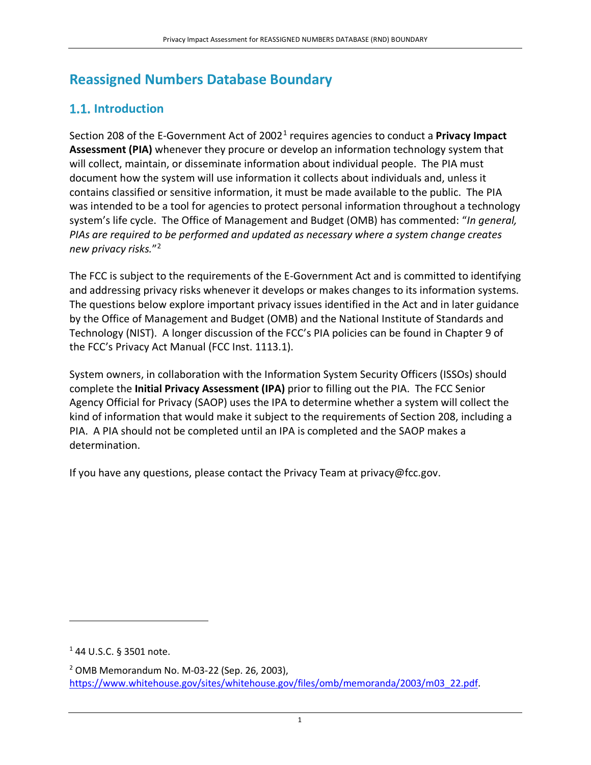# **Reassigned Numbers Database Boundary**

# **1.1.** Introduction

Section 208 of the E-Government Act of 20021 requires agencies to conduct a **Privacy Impact Assessment (PIA)** whenever they procure or develop an information technology system that will collect, maintain, or disseminate information about individual people. The PIA must document how the system will use information it collects about individuals and, unless it contains classified or sensitive information, it must be made available to the public. The PIA was intended to be a tool for agencies to protect personal information throughout a technology system's life cycle. The Office of Management and Budget (OMB) has commented: "*In general, PIAs are required to be performed and updated as necessary where a system change creates new privacy risks.*"2

The FCC is subject to the requirements of the E-Government Act and is committed to identifying and addressing privacy risks whenever it develops or makes changes to its information systems. The questions below explore important privacy issues identified in the Act and in later guidance by the Office of Management and Budget (OMB) and the National Institute of Standards and Technology (NIST). A longer discussion of the FCC's PIA policies can be found in Chapter 9 of the FCC's Privacy Act Manual (FCC Inst. 1113.1).

System owners, in collaboration with the Information System Security Officers (ISSOs) should complete the **Initial Privacy Assessment (IPA)** prior to filling out the PIA. The FCC Senior Agency Official for Privacy (SAOP) uses the IPA to determine whether a system will collect the kind of information that would make it subject to the requirements of Section 208, including a PIA. A PIA should not be completed until an IPA is completed and the SAOP makes a determination.

If you have any questions, please contact the Privacy Team at privacy@fcc.gov.

 $144$  U.S.C. § 3501 note.

<sup>2</sup> OMB Memorandum No. M-03-22 (Sep. 26, 2003), https://www.whitehouse.gov/sites/whitehouse.gov/files/omb/memoranda/2003/m03\_22.pdf.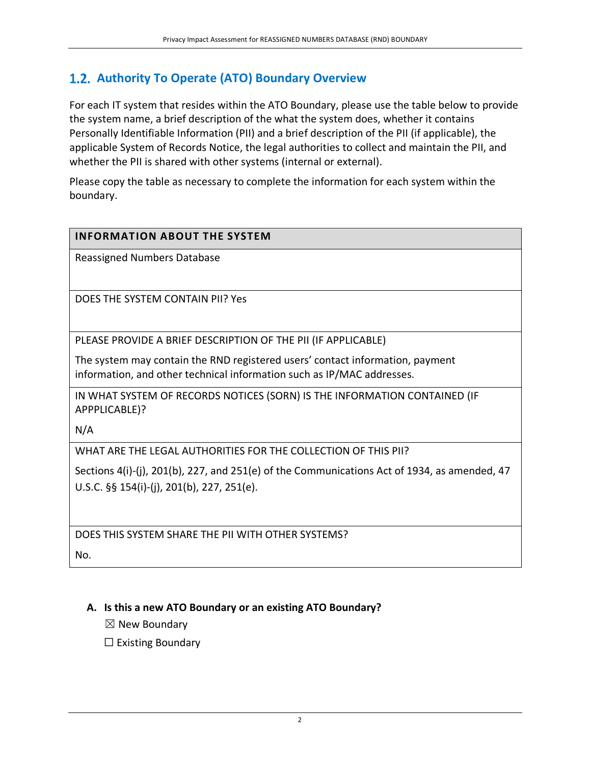## **Authority To Operate (ATO) Boundary Overview**

For each IT system that resides within the ATO Boundary, please use the table below to provide the system name, a brief description of the what the system does, whether it contains Personally Identifiable Information (PII) and a brief description of the PII (if applicable), the applicable System of Records Notice, the legal authorities to collect and maintain the PII, and whether the PII is shared with other systems (internal or external).

Please copy the table as necessary to complete the information for each system within the boundary.

#### **INFORMATION ABOUT THE SYSTEM**

Reassigned Numbers Database

DOES THE SYSTEM CONTAIN PII? Yes

PLEASE PROVIDE A BRIEF DESCRIPTION OF THE PII (IF APPLICABLE)

The system may contain the RND registered users' contact information, payment information, and other technical information such as IP/MAC addresses.

IN WHAT SYSTEM OF RECORDS NOTICES (SORN) IS THE INFORMATION CONTAINED (IF APPPLICABLE)?

N/A

WHAT ARE THE LEGAL AUTHORITIES FOR THE COLLECTION OF THIS PII?

Sections 4(i)-(j), 201(b), 227, and 251(e) of the Communications Act of 1934, as amended, 47 U.S.C. §§ 154(i)-(j), 201(b), 227, 251(e).

DOES THIS SYSTEM SHARE THE PII WITH OTHER SYSTEMS? No.

#### **A. Is this a new ATO Boundary or an existing ATO Boundary?**

 $\boxtimes$  New Boundary

 $\Box$  Existing Boundary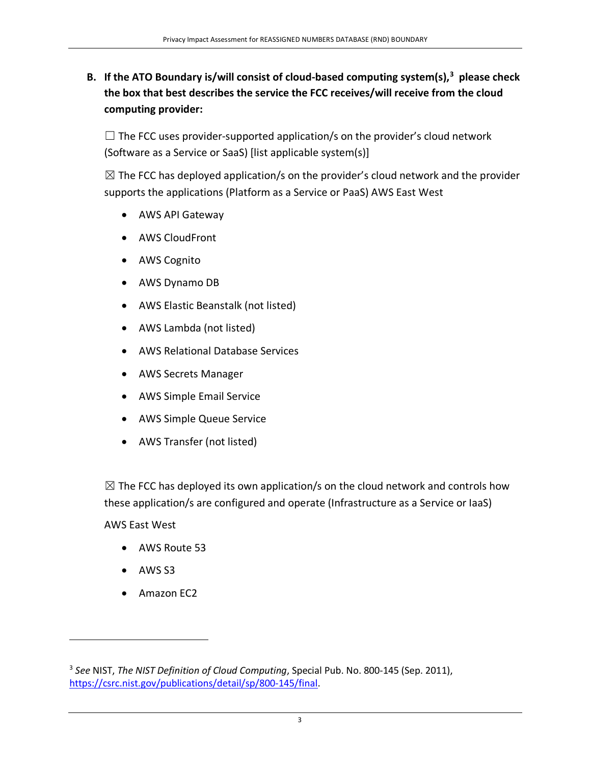## **B. If the ATO Boundary is/will consist of cloud-based computing system(s), 3 please check the box that best describes the service the FCC receives/will receive from the cloud computing provider:**

 $\Box$  The FCC uses provider-supported application/s on the provider's cloud network (Software as a Service or SaaS) [list applicable system(s)]

 $\boxtimes$  The FCC has deployed application/s on the provider's cloud network and the provider supports the applications (Platform as a Service or PaaS) AWS East West

- AWS API Gateway
- AWS CloudFront
- AWS Cognito
- AWS Dynamo DB
- AWS Elastic Beanstalk (not listed)
- AWS Lambda (not listed)
- AWS Relational Database Services
- AWS Secrets Manager
- AWS Simple Email Service
- AWS Simple Queue Service
- AWS Transfer (not listed)

 $\boxtimes$  The FCC has deployed its own application/s on the cloud network and controls how these application/s are configured and operate (Infrastructure as a Service or IaaS)

AWS East West

- AWS Route 53
- AWS S3
- Amazon EC2

<sup>3</sup> *See* NIST, *The NIST Definition of Cloud Computing*, Special Pub. No. 800-145 (Sep. 2011), https://csrc.nist.gov/publications/detail/sp/800-145/final.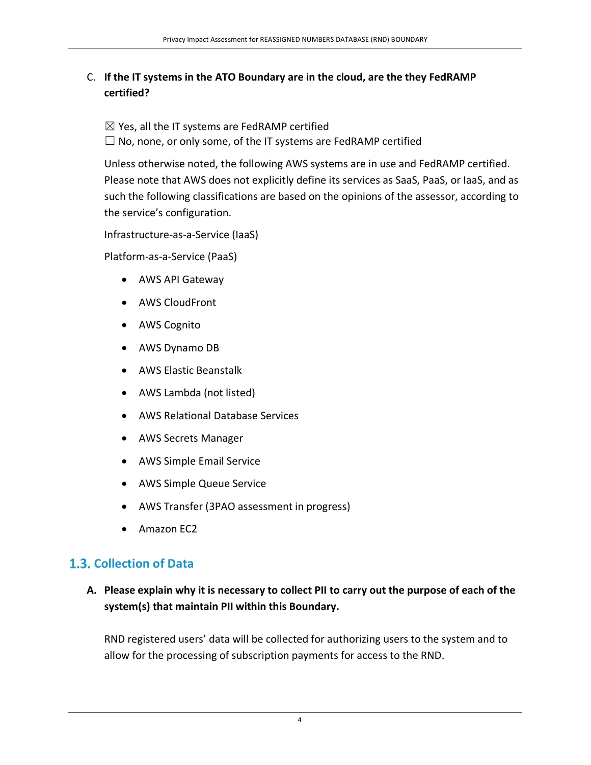## C. **If the IT systems in the ATO Boundary are in the cloud, are the they FedRAMP certified?**

 $\boxtimes$  Yes, all the IT systems are FedRAMP certified  $\Box$  No, none, or only some, of the IT systems are FedRAMP certified

Unless otherwise noted, the following AWS systems are in use and FedRAMP certified. Please note that AWS does not explicitly define its services as SaaS, PaaS, or IaaS, and as such the following classifications are based on the opinions of the assessor, according to the service's configuration.

Infrastructure-as-a-Service (IaaS)

Platform-as-a-Service (PaaS)

- AWS API Gateway
- AWS CloudFront
- AWS Cognito
- AWS Dynamo DB
- AWS Elastic Beanstalk
- AWS Lambda (not listed)
- AWS Relational Database Services
- AWS Secrets Manager
- AWS Simple Email Service
- AWS Simple Queue Service
- AWS Transfer (3PAO assessment in progress)
- Amazon EC2

# **Collection of Data**

## **A. Please explain why it is necessary to collect PII to carry out the purpose of each of the system(s) that maintain PII within this Boundary.**

RND registered users' data will be collected for authorizing users to the system and to allow for the processing of subscription payments for access to the RND.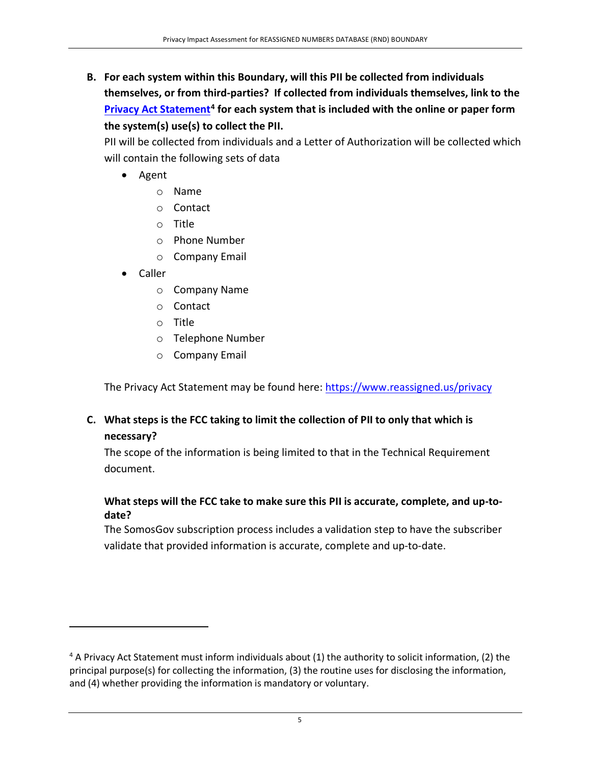**B. For each system within this Boundary, will this PII be collected from individuals themselves, or from third-parties? If collected from individuals themselves, link to the Privacy Act Statement4 for each system that is included with the online or paper form the system(s) use(s) to collect the PII.** 

PII will be collected from individuals and a Letter of Authorization will be collected which will contain the following sets of data

- Agent
	- o Name
	- o Contact
	- o Title
	- o Phone Number
	- o Company Email
- Caller
	- o Company Name
	- o Contact
	- o Title
	- o Telephone Number
	- o Company Email

The Privacy Act Statement may be found here: https://www.reassigned.us/privacy

## **C. What steps is the FCC taking to limit the collection of PII to only that which is necessary?**

The scope of the information is being limited to that in the Technical Requirement document.

#### **What steps will the FCC take to make sure this PII is accurate, complete, and up-todate?**

The SomosGov subscription process includes a validation step to have the subscriber validate that provided information is accurate, complete and up-to-date.

<sup>&</sup>lt;sup>4</sup> A Privacy Act Statement must inform individuals about (1) the authority to solicit information, (2) the principal purpose(s) for collecting the information, (3) the routine uses for disclosing the information, and (4) whether providing the information is mandatory or voluntary.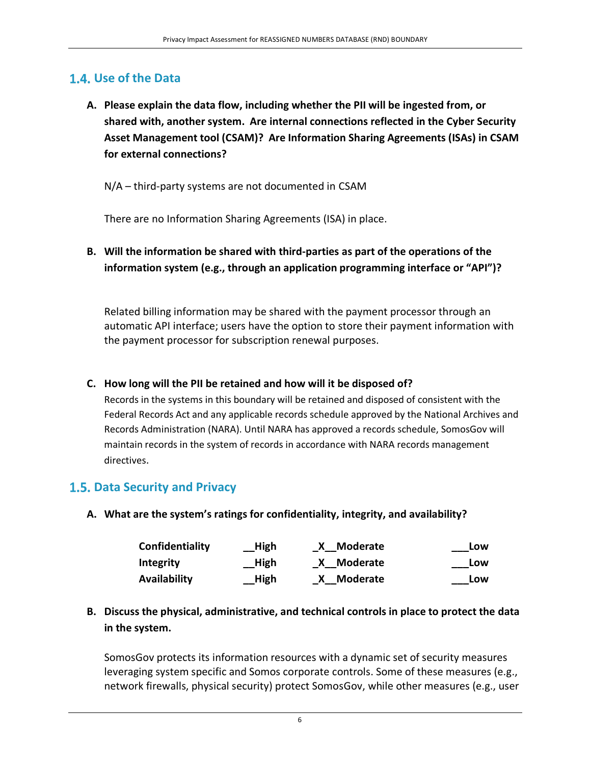## **Use of the Data**

**A. Please explain the data flow, including whether the PII will be ingested from, or shared with, another system. Are internal connections reflected in the Cyber Security Asset Management tool (CSAM)? Are Information Sharing Agreements (ISAs) in CSAM for external connections?**

N/A – third-party systems are not documented in CSAM

There are no Information Sharing Agreements (ISA) in place.

**B. Will the information be shared with third-parties as part of the operations of the information system (e.g., through an application programming interface or "API")?**

Related billing information may be shared with the payment processor through an automatic API interface; users have the option to store their payment information with the payment processor for subscription renewal purposes.

#### **C. How long will the PII be retained and how will it be disposed of?**

Records in the systems in this boundary will be retained and disposed of consistent with the Federal Records Act and any applicable records schedule approved by the National Archives and Records Administration (NARA). Until NARA has approved a records schedule, SomosGov will maintain records in the system of records in accordance with NARA records management directives.

## **Data Security and Privacy**

**A. What are the system's ratings for confidentiality, integrity, and availability?**

| Confidentiality     | <b>High</b> | X Moderate | Low |
|---------------------|-------------|------------|-----|
| <b>Integrity</b>    | <b>High</b> | X Moderate | Low |
| <b>Availability</b> | High        | X Moderate | Low |

**B. Discuss the physical, administrative, and technical controls in place to protect the data in the system.**

SomosGov protects its information resources with a dynamic set of security measures leveraging system specific and Somos corporate controls. Some of these measures (e.g., network firewalls, physical security) protect SomosGov, while other measures (e.g., user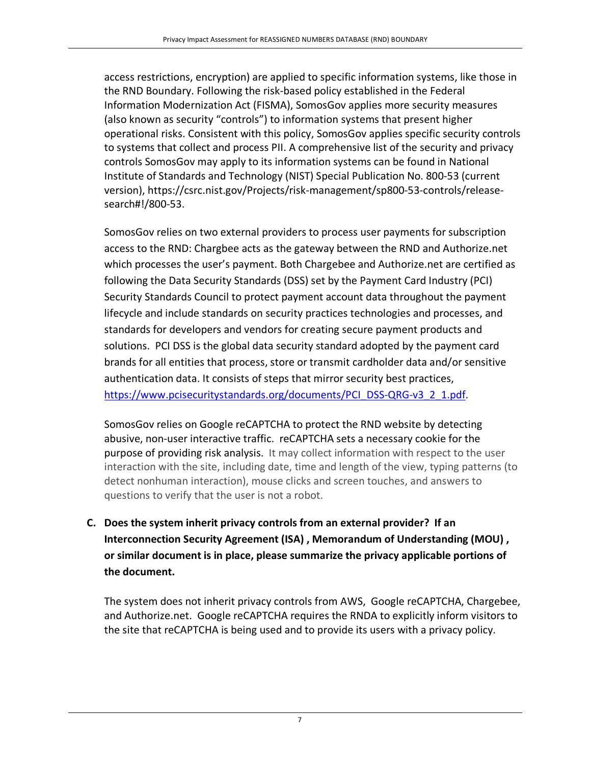access restrictions, encryption) are applied to specific information systems, like those in the RND Boundary. Following the risk-based policy established in the Federal Information Modernization Act (FISMA), SomosGov applies more security measures (also known as security "controls") to information systems that present higher operational risks. Consistent with this policy, SomosGov applies specific security controls to systems that collect and process PII. A comprehensive list of the security and privacy controls SomosGov may apply to its information systems can be found in National Institute of Standards and Technology (NIST) Special Publication No. 800-53 (current version), https://csrc.nist.gov/Projects/risk-management/sp800-53-controls/releasesearch#!/800-53.

SomosGov relies on two external providers to process user payments for subscription access to the RND: Chargbee acts as the gateway between the RND and Authorize.net which processes the user's payment. Both Chargebee and Authorize.net are certified as following the Data Security Standards (DSS) set by the Payment Card Industry (PCI) Security Standards Council to protect payment account data throughout the payment lifecycle and include standards on security practices technologies and processes, and standards for developers and vendors for creating secure payment products and solutions. PCI DSS is the global data security standard adopted by the payment card brands for all entities that process, store or transmit cardholder data and/or sensitive authentication data. It consists of steps that mirror security best practices, https://www.pcisecuritystandards.org/documents/PCI\_DSS-QRG-v3\_2\_1.pdf.

SomosGov relies on Google reCAPTCHA to protect the RND website by detecting abusive, non-user interactive traffic. reCAPTCHA sets a necessary cookie for the purpose of providing risk analysis. It may collect information with respect to the user interaction with the site, including date, time and length of the view, typing patterns (to detect nonhuman interaction), mouse clicks and screen touches, and answers to questions to verify that the user is not a robot.

**C. Does the system inherit privacy controls from an external provider? If an Interconnection Security Agreement (ISA) , Memorandum of Understanding (MOU) , or similar document is in place, please summarize the privacy applicable portions of the document.** 

The system does not inherit privacy controls from AWS, Google reCAPTCHA, Chargebee, and Authorize.net. Google reCAPTCHA requires the RNDA to explicitly inform visitors to the site that reCAPTCHA is being used and to provide its users with a privacy policy.